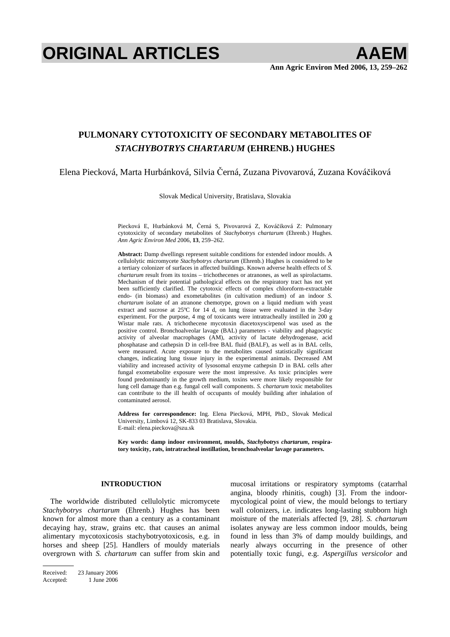# **ORIGINAL ARTICLES** AAEM

# **PULMONARY CYTOTOXICITY OF SECONDARY METABOLITES OF**  *STACHYBOTRYS CHARTARUM* **(EHRENB.) HUGHES**

Elena Piecková, Marta Hurbánková, Silvia Černá, Zuzana Pivovarová, Zuzana Kováčiková

Slovak Medical University, Bratislava, Slovakia

Piecková E, Hurbánková M, Černá S, Pivovarová Z, Kováčiková Z: Pulmonary cytotoxicity of secondary metabolites of *Stachybotrys chartarum* (Ehrenb.) Hughes. *Ann Agric Environ Med* 2006, **13**, 259–262.

**Abstract:** Damp dwellings represent suitable conditions for extended indoor moulds. A cellulolytic micromycete *Stachybotrys chartarum* (Ehrenb.) Hughes is considered to be a tertiary colonizer of surfaces in affected buildings. Known adverse health effects of *S. chartarum* result from its toxins – trichothecenes or atranones, as well as spirolactams. Mechanism of their potential pathological effects on the respiratory tract has not yet been sufficiently clarified. The cytotoxic effects of complex chloroform-extractable endo- (in biomass) and exometabolites (in cultivation medium) of an indoor *S. chartarum* isolate of an atranone chemotype, grown on a liquid medium with yeast extract and sucrose at 25ºC for 14 d, on lung tissue were evaluated in the 3-day experiment. For the purpose, 4 mg of toxicants were intratracheally instilled in 200 g Wistar male rats. A trichothecene mycotoxin diacetoxyscirpenol was used as the positive control. Bronchoalveolar lavage (BAL) parameters - viability and phagocytic activity of alveolar macrophages (AM), activity of lactate dehydrogenase, acid phosphatase and cathepsin D in cell-free BAL fluid (BALF), as well as in BAL cells, were measured. Acute exposure to the metabolites caused statistically significant changes, indicating lung tissue injury in the experimental animals. Decreased AM viability and increased activity of lysosomal enzyme cathepsin D in BAL cells after fungal exometabolite exposure were the most impressive. As toxic principles were found predominantly in the growth medium, toxins were more likely responsible for lung cell damage than e.g. fungal cell wall components. *S. chartarum* toxic metabolites can contribute to the ill health of occupants of mouldy building after inhalation of contaminated aerosol.

**Address for correspondence:** Ing. Elena Piecková, MPH, PhD., Slovak Medical University, Limbová 12, SK-833 03 Bratislava, Slovakia. E-mail: elena.pieckova@szu.sk

**Key words: damp indoor environment, moulds,** *Stachybotrys chartarum***, respiratory toxicity, rats, intratracheal instillation, bronchoalveolar lavage parameters.** 

# **INTRODUCTION**

The worldwide distributed cellulolytic micromycete *Stachybotrys chartarum* (Ehrenb.) Hughes has been known for almost more than a century as a contaminant decaying hay, straw, grains etc. that causes an animal alimentary mycotoxicosis stachybotryotoxicosis, e.g. in horses and sheep [25]. Handlers of mouldy materials overgrown with *S. chartarum* can suffer from skin and

mucosal irritations or respiratory symptoms (catarrhal angina, bloody rhinitis, cough) [3]. From the indoormycological point of view, the mould belongs to tertiary wall colonizers, i.e. indicates long-lasting stubborn high moisture of the materials affected [9, 28]. *S. chartarum* isolates anyway are less common indoor moulds, being found in less than 3% of damp mouldy buildings, and nearly always occurring in the presence of other potentially toxic fungi, e.g. *Aspergillus versicolor* and

Received: 23 January 2006 Accepted: 1 June 2006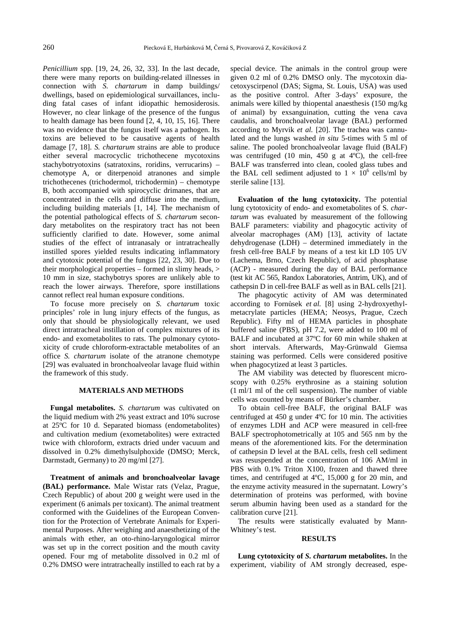*Penicillium* spp. [19, 24, 26, 32, 33]. In the last decade, there were many reports on building-related illnesses in connection with *S. chartarum* in damp buildings/ dwellings, based on epidemiological survaillances, including fatal cases of infant idiopathic hemosiderosis. However, no clear linkage of the presence of the fungus to health damage has been found [2, 4, 10, 15, 16]. There was no evidence that the fungus itself was a pathogen. Its toxins are believed to be causative agents of health damage [7, 18]. *S. chartarum* strains are able to produce either several macrocyclic trichothecene mycotoxins stachybotryotoxins (satratoxins, roridins, verrucarins) – chemotype A, or diterpenoid atranones and simple trichothecenes (trichodermol, trichodermin) – chemotype B, both accompanied with spirocyclic drimanes, that are concentrated in the cells and diffuse into the medium, including building materials [1, 14]. The mechanism of the potential pathological effects of *S. chartarum* secondary metabolites on the respiratory tract has not been sufficiently clarified to date. However, some animal studies of the effect of intranasaly or intratracheally instilled spores yielded results indicating inflammatory and cytotoxic potential of the fungus [22, 23, 30]. Due to their morphological properties – formed in slimy heads, > 10 mm in size, stachybotrys spores are unlikely able to reach the lower airways. Therefore, spore instillations cannot reflect real human exposure conditions.

To focuse more precisely on *S. chartarum* toxic principles' role in lung injury effects of the fungus, as only that should be physiologically relevant, we used direct intratracheal instillation of complex mixtures of its endo- and exometabolites to rats. The pulmonary cytotoxicity of crude chloroform-extractable metabolites of an office *S. chartarum* isolate of the atranone chemotype [29] was evaluated in bronchoalveolar lavage fluid within the framework of this study.

# **MATERIALS AND METHODS**

**Fungal metabolites.** *S. chartarum* was cultivated on the liquid medium with 2% yeast extract and 10% sucrose at 25ºC for 10 d. Separated biomass (endometabolites) and cultivation medium (exometabolites) were extracted twice with chloroform, extracts dried under vacuum and dissolved in 0.2% dimethylsulphoxide (DMSO; Merck, Darmstadt, Germany) to 20 mg/ml [27].

**Treatment of animals and bronchoalveolar lavage (BAL) performance.** Male Wistar rats (Velaz, Prague, Czech Republic) of about 200 g weight were used in the experiment (6 animals per toxicant). The animal treatment conformed with the Guidelines of the European Convention for the Protection of Vertebrate Animals for Experimental Purposes. After weighing and anaesthetizing of the animals with ether, an oto-rhino-laryngological mirror was set up in the correct position and the mouth cavity opened. Four mg of metabolite dissolved in 0.2 ml of 0.2% DMSO were intratracheally instilled to each rat by a special device. The animals in the control group were given 0.2 ml of 0.2% DMSO only. The mycotoxin diacetoxyscirpenol (DAS; Sigma, St. Louis, USA) was used as the positive control. After 3-days' exposure, the animals were killed by thiopental anaesthesis (150 mg/kg of animal) by exsanguination, cutting the vena cava caudalis, and bronchoalveolar lavage (BAL) performed according to Myrvik *et al.* [20]. The trachea was cannulated and the lungs washed *in situ* 5-times with 5 ml of saline. The pooled bronchoalveolar lavage fluid (BALF) was centrifuged (10 min, 450 g at 4ºC), the cell-free BALF was transferred into clean, cooled glass tubes and the BAL cell sediment adjusted to  $1 \times 10^6$  cells/ml by sterile saline [13].

**Evaluation of the lung cytotoxicity.** The potential lung cytotoxicity of endo- and exometabolites of S*. chartarum* was evaluated by measurement of the following BALF parameters: viability and phagocytic activity of alveolar macrophages (AM) [13], activity of lactate dehydrogenase (LDH) – determined immediately in the fresh cell-free BALF by means of a test kit LD 105 UV (Lachema, Brno, Czech Republic), of acid phosphatase (ACP) - measured during the day of BAL performance (test kit AC 565, Randox Laboratories, Antrim, UK), and of cathepsin D in cell-free BALF as well as in BAL cells [21].

The phagocytic activity of AM was determinated according to Fornůsek *et al.* [8] using 2-hydroxyethylmetacrylate particles (HEMA; Neosys, Prague, Czech Republic). Fifty ml of HEMA particles in phosphate buffered saline (PBS), pH 7.2, were added to 100 ml of BALF and incubated at 37ºC for 60 min while shaken at short intervals. Afterwards, May-Grünwald Giemsa staining was performed. Cells were considered positive when phagocytized at least 3 particles.

The AM viability was detected by fluorescent microscopy with 0.25% erythrosine as a staining solution (1 ml/1 ml of the cell suspension). The number of viable cells was counted by means of Bürker's chamber.

To obtain cell-free BALF, the original BALF was centrifuged at 450 g under 4ºC for 10 min. The activities of enzymes LDH and ACP were measured in cell-free BALF spectrophotometrically at 105 and 565 nm by the means of the aforementioned kits. For the determination of cathepsin D level at the BAL cells, fresh cell sediment was resuspended at the concentration of 106 AM/ml in PBS with 0.1% Triton X100, frozen and thawed three times, and centrifuged at 4ºC, 15,000 g for 20 min, and the enzyme activity measured in the supernatant. Lowry's determination of proteins was performed, with bovine serum albumin having been used as a standard for the calibration curve [21].

The results were statistically evaluated by Mann-Whitney's test.

#### **RESULTS**

**Lung cytotoxicity of** *S. chartarum* **metabolites.** In the experiment, viability of AM strongly decreased, espe-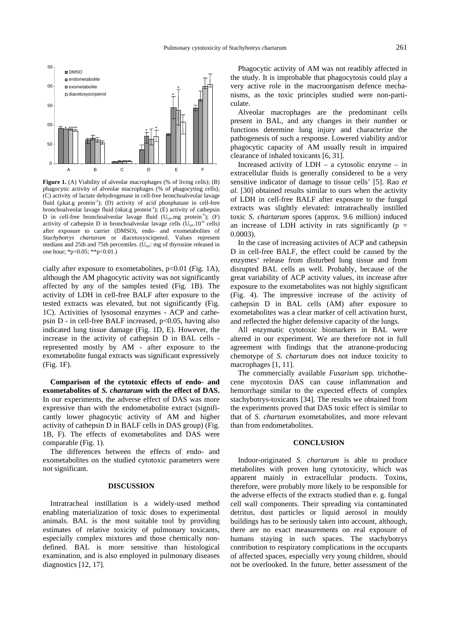

**Figure 1.** (A) Viability of alveolar macrophages (% of living cells); (B) phagocytic activity of alveolar macrophages (% of phagocyting cells); (C) activity of lactate dehydrogenase in cell-free bronchoalveolar lavage fluid ( $\mu$ kat.g protein<sup>-1</sup>); (D) activity of acid phosphatase in cell-free bronchoalveolar lavage fluid (nkat.g protein<sup>-1</sup>); (E) activity of cathepsin D in cell-free bronchoalveolar lavage fluid  $(U_{tyr} \text{mg protein}^{-1})$ ; (F) activity of cathepsin D in bronchoalveolar lavage cells  $(U_{\text{tyr}}.10^{-6}$  cells) after exposure to carrier (DMSO), endo- and exometabolites of *Stachybotrys chartarum* or diacetoxyscirpenol. Values represent medians and 25th and 75th percentiles.  $(U_{tyr}$ : mg of thyrosine released in one hour; \*p<0.05; \*\*p<0.01.)

cially after exposure to exometabolites,  $p<0.01$  (Fig. 1A), although the AM phagocytic activity was not significantly affected by any of the samples tested (Fig. 1B). The activity of LDH in cell-free BALF after exposure to the tested extracts was elevated, but not significantly (Fig. 1C). Activities of lysosomal enzymes - ACP and cathepsin  $D$  - in cell-free BALF increased,  $p<0.05$ , having also indicated lung tissue damage (Fig. 1D, E). However, the increase in the activity of cathepsin D in BAL cells represented mostly by AM - after exposure to the exometabolite fungal extracts was significant expressively (Fig. 1F).

**Comparison of the cytotoxic effects of endo- and exometabolites of** *S. chartarum* **with the effect of DAS.** In our experiments, the adverse effect of DAS was more expressive than with the endometabolite extract (significantly lower phagocytic activity of AM and higher activity of cathepsin D in BALF cells in DAS group) (Fig. 1B, F). The effects of exometabolites and DAS were comparable (Fig. 1).

The differences between the effects of endo- and exometabolites on the studied cytotoxic parameters were not significant.

### **DISCUSSION**

Intratracheal instillation is a widely-used method enabling materialization of toxic doses to experimental animals. BAL is the most suitable tool by providing estimates of relative toxicity of pulmonary toxicants, especially complex mixtures and those chemically nondefined. BAL is more sensitive than histological examination, and is also employed in pulmonary diseases diagnostics [12, 17].

Phagocytic activity of AM was not readibly affected in the study. It is improbable that phagocytosis could play a very active role in the macroorganism defence mechanisms, as the toxic principles studied were non-particulate.

Alveolar macrophages are the predominant cells present in BAL, and any changes in their number or functions determine lung injury and characterize the pathogenesis of such a response. Lowered viability and/or phagocytic capacity of AM usually result in impaired clearance of inhaled toxicants [6, 31].

Increased activity of  $LDH - a$  cytosolic enzyme – in extracellular fluids is generally considered to be a very sensitive indicator of damage to tissue cells' [5]. Rao *et al.* [30] obtained results similar to ours when the activity of LDH in cell-free BALF after exposure to the fungal extracts was slightly elevated: intratracheally instilled toxic *S. chartarum* spores (approx. 9.6 million) induced an increase of LDH activity in rats significantly ( $p =$ 0.0003).

In the case of increasing activites of ACP and cathepsin D in cell-free BALF, the effect could be caused by the enzymes' release from disturbed lung tissue and from disrupted BAL cells as well. Probably, because of the great variability of ACP activity values, its increase after exposure to the exometabolites was not highly significant (Fig. 4). The impressive increase of the activity of cathepsin D in BAL cells (AM) after exposure to exometabolites was a clear marker of cell activation burst, and reflected the higher defensive capacity of the lungs.

All enzymatic cytotoxic biomarkers in BAL were altered in our experiment. We are therefore not in full agreement with findings that the atranone-producing chemotype of *S. chartarum* does not induce toxicity to macrophages [1, 11].

The commercially available *Fusarium* spp. trichothecene mycotoxin DAS can cause inflammation and hemorrhage similar to the expected effects of complex stachybotrys-toxicants [34]. The results we obtained from the experiments proved that DAS toxic effect is similar to that of *S. chartarum* exometabolites, and more relevant than from endometabolites.

## **CONCLUSION**

Indoor-originated *S. chartarum* is able to produce metabolites with proven lung cytotoxicity, which was apparent mainly in extracellular products. Toxins, therefore, were probably more likely to be responsible for the adverse effects of the extracts studied than e. g. fungal cell wall components. Their spreading via contaminated detritus, dust particles or liquid aerosol in mouldy buildings has to be seriously taken into account, although, there are no exact measurements on real exposure of humans staying in such spaces. The stachybotrys contribution to respiratory complications in the occupants of affected spaces, especially very young children, should not be overlooked. In the future, better assessment of the